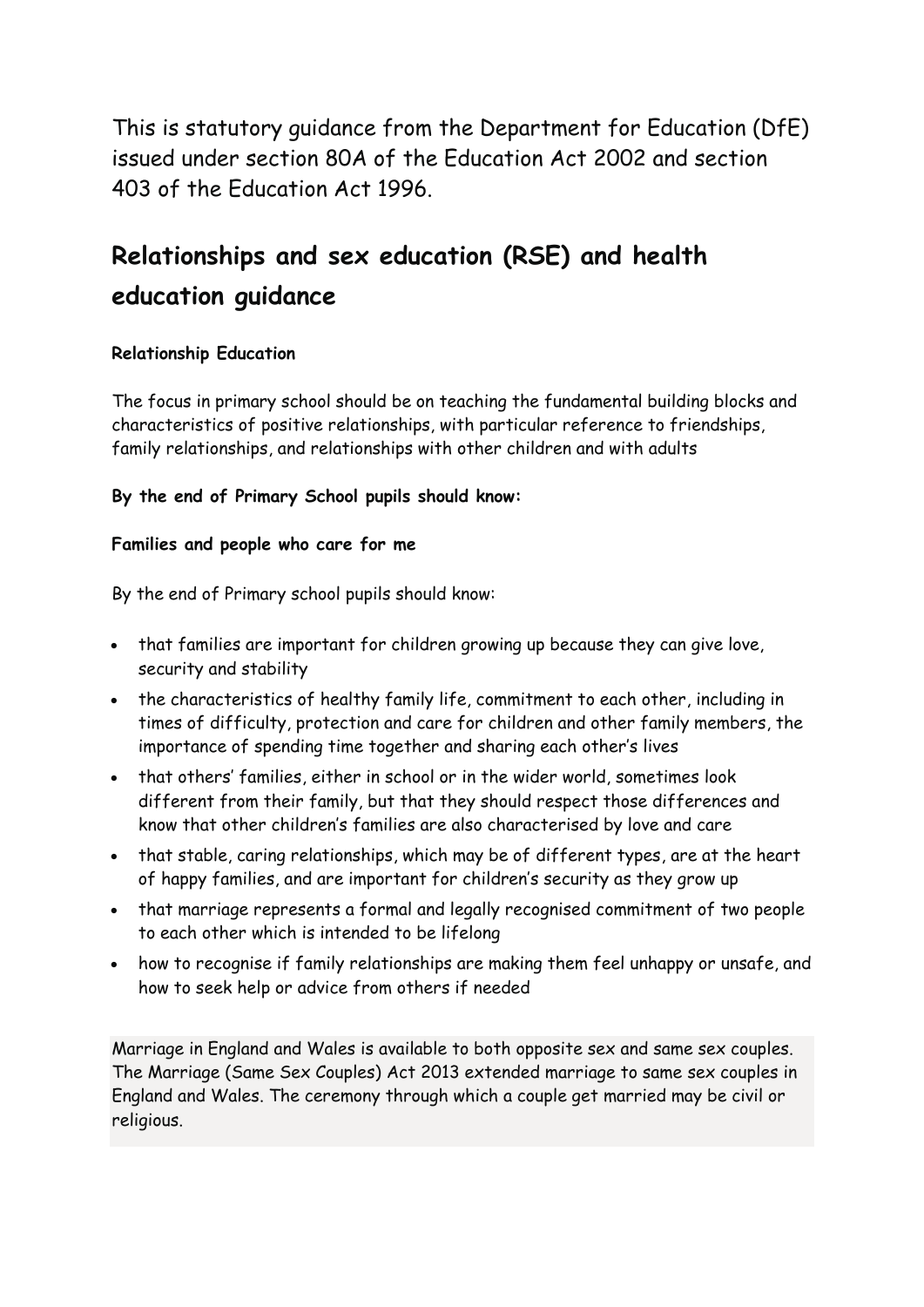This is statutory guidance from the Department for Education (DfE) issued under section 80A of the Education Act 2002 and section 403 of the Education Act 1996.

# **Relationships and sex education (RSE) and health education guidance**

# **Relationship Education**

The focus in primary school should be on teaching the fundamental building blocks and characteristics of positive relationships, with particular reference to friendships, family relationships, and relationships with other children and with adults

# **By the end of Primary School pupils should know:**

## **Families and people who care for me**

By the end of Primary school pupils should know:

- that families are important for children growing up because they can give love, security and stability
- the characteristics of healthy family life, commitment to each other, including in times of difficulty, protection and care for children and other family members, the importance of spending time together and sharing each other's lives
- that others' families, either in school or in the wider world, sometimes look different from their family, but that they should respect those differences and know that other children's families are also characterised by love and care
- that stable, caring relationships, which may be of different types, are at the heart of happy families, and are important for children's security as they grow up
- that marriage represents a formal and legally recognised commitment of two people to each other which is intended to be lifelong
- how to recognise if family relationships are making them feel unhappy or unsafe, and how to seek help or advice from others if needed

Marriage in England and Wales is available to both opposite sex and same sex couples. The Marriage (Same Sex Couples) Act 2013 extended marriage to same sex couples in England and Wales. The ceremony through which a couple get married may be civil or religious.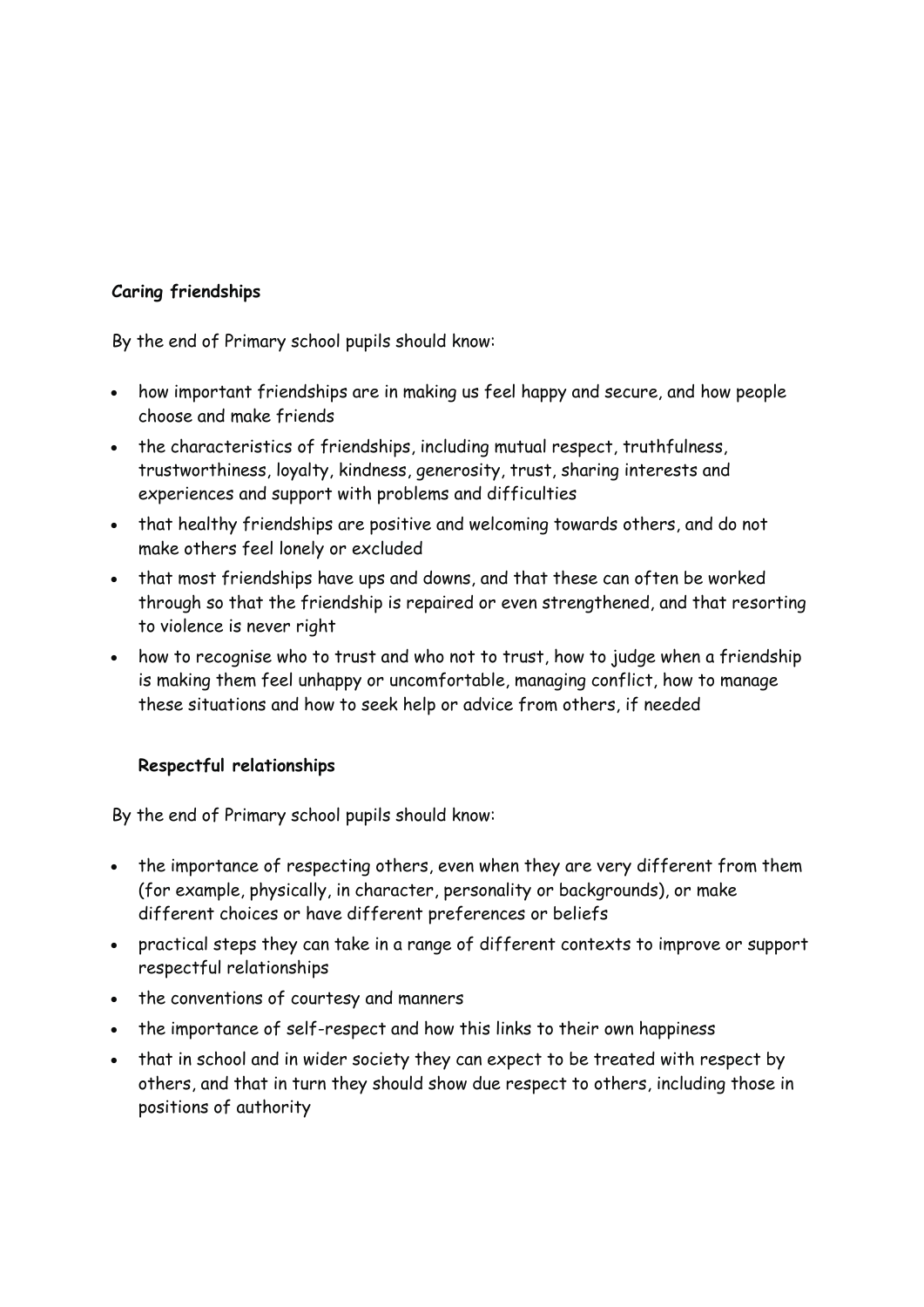## **Caring friendships**

By the end of Primary school pupils should know:

- how important friendships are in making us feel happy and secure, and how people choose and make friends
- the characteristics of friendships, including mutual respect, truthfulness, trustworthiness, loyalty, kindness, generosity, trust, sharing interests and experiences and support with problems and difficulties
- that healthy friendships are positive and welcoming towards others, and do not make others feel lonely or excluded
- that most friendships have ups and downs, and that these can often be worked through so that the friendship is repaired or even strengthened, and that resorting to violence is never right
- how to recognise who to trust and who not to trust, how to judge when a friendship is making them feel unhappy or uncomfortable, managing conflict, how to manage these situations and how to seek help or advice from others, if needed

# **Respectful relationships**

- the importance of respecting others, even when they are very different from them (for example, physically, in character, personality or backgrounds), or make different choices or have different preferences or beliefs
- practical steps they can take in a range of different contexts to improve or support respectful relationships
- the conventions of courtesy and manners
- the importance of self-respect and how this links to their own happiness
- that in school and in wider society they can expect to be treated with respect by others, and that in turn they should show due respect to others, including those in positions of authority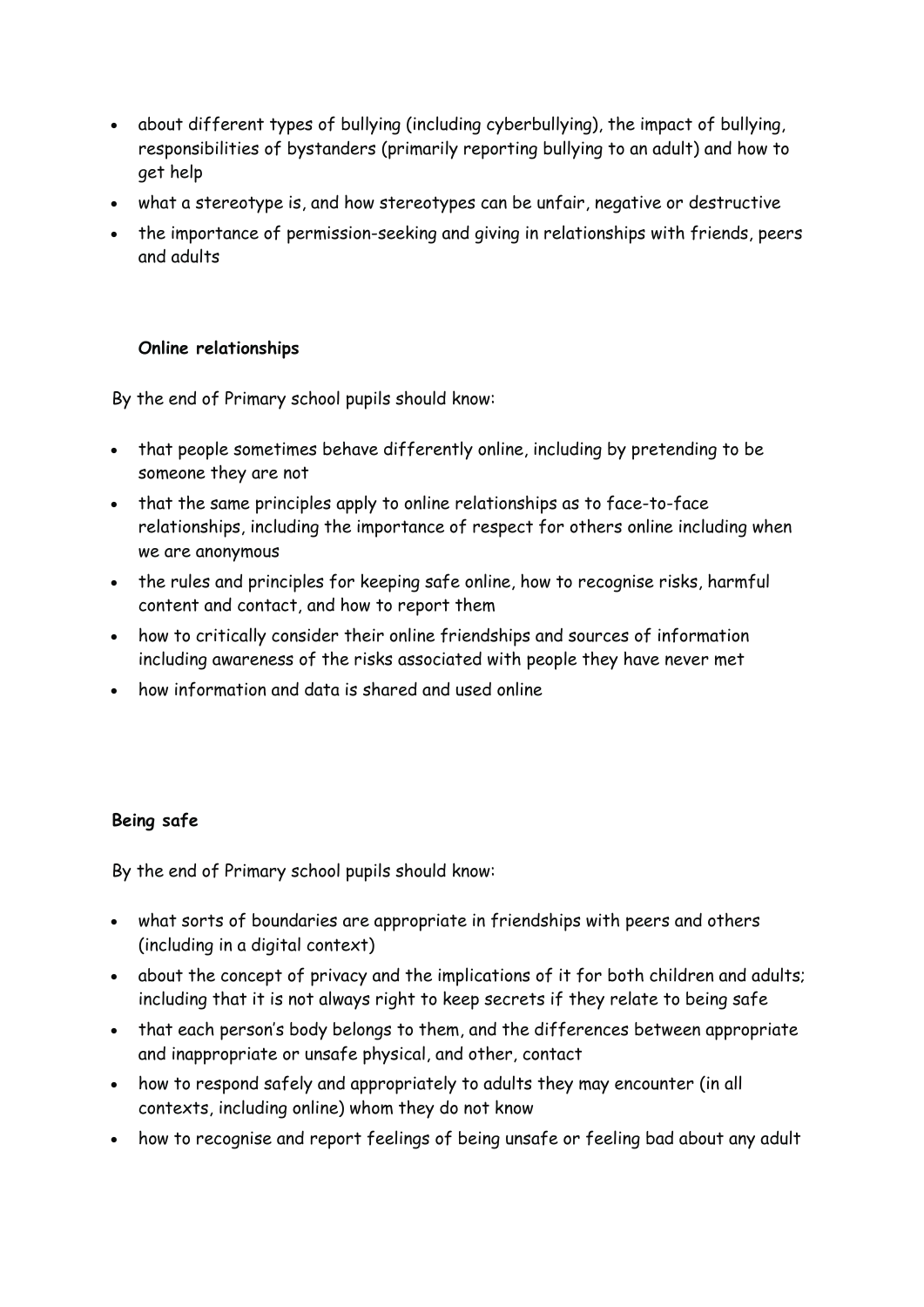- about different types of bullying (including cyberbullying), the impact of bullying, responsibilities of bystanders (primarily reporting bullying to an adult) and how to get help
- what a stereotype is, and how stereotypes can be unfair, negative or destructive
- the importance of permission-seeking and giving in relationships with friends, peers and adults

## **Online relationships**

By the end of Primary school pupils should know:

- that people sometimes behave differently online, including by pretending to be someone they are not
- that the same principles apply to online relationships as to face-to-face relationships, including the importance of respect for others online including when we are anonymous
- the rules and principles for keeping safe online, how to recognise risks, harmful content and contact, and how to report them
- how to critically consider their online friendships and sources of information including awareness of the risks associated with people they have never met
- how information and data is shared and used online

#### **Being safe**

- what sorts of boundaries are appropriate in friendships with peers and others (including in a digital context)
- about the concept of privacy and the implications of it for both children and adults; including that it is not always right to keep secrets if they relate to being safe
- that each person's body belongs to them, and the differences between appropriate and inappropriate or unsafe physical, and other, contact
- how to respond safely and appropriately to adults they may encounter (in all contexts, including online) whom they do not know
- how to recognise and report feelings of being unsafe or feeling bad about any adult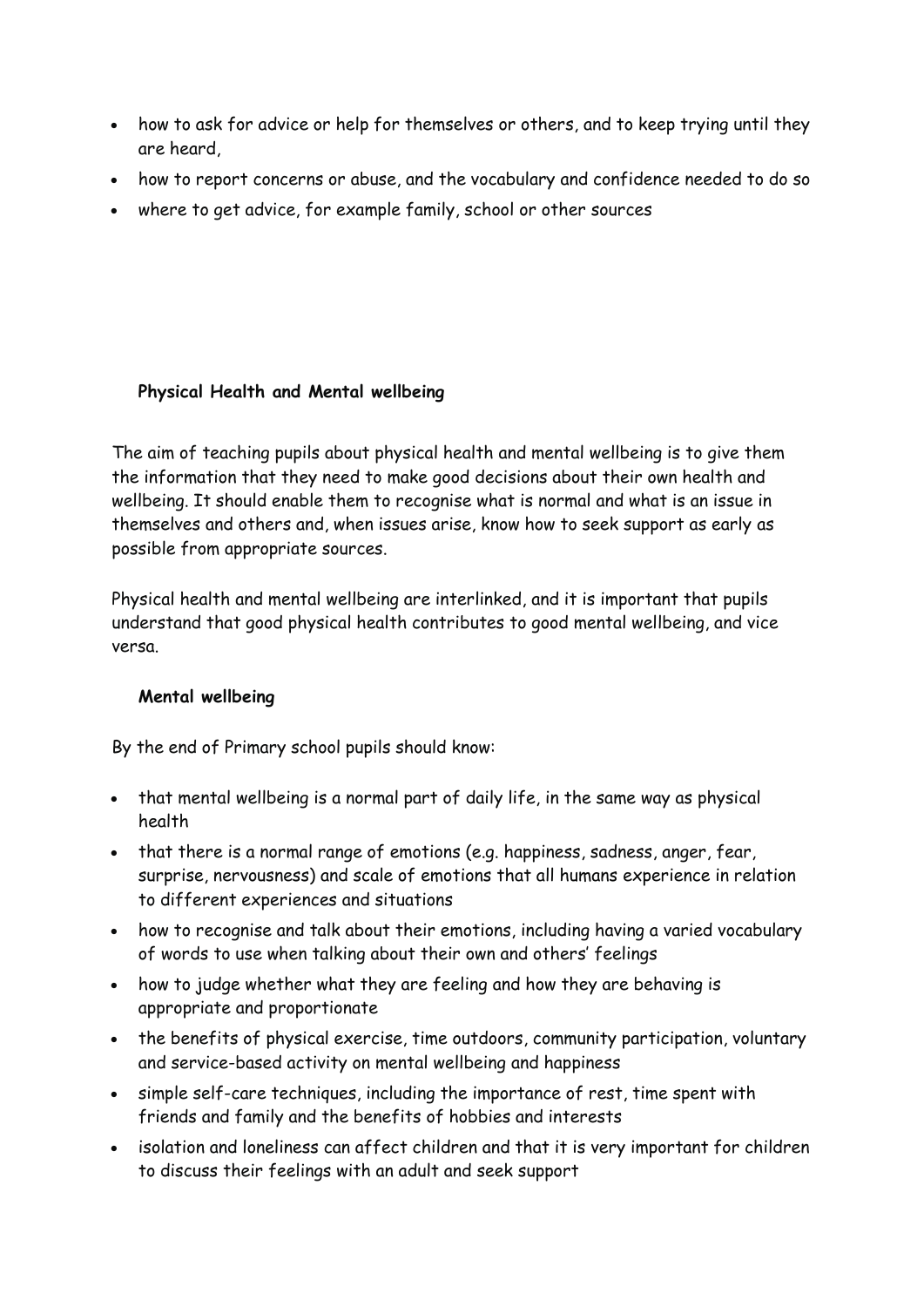- how to ask for advice or help for themselves or others, and to keep trying until they are heard,
- how to report concerns or abuse, and the vocabulary and confidence needed to do so
- where to get advice, for example family, school or other sources

## **Physical Health and Mental wellbeing**

The aim of teaching pupils about physical health and mental wellbeing is to give them the information that they need to make good decisions about their own health and wellbeing. It should enable them to recognise what is normal and what is an issue in themselves and others and, when issues arise, know how to seek support as early as possible from appropriate sources.

Physical health and mental wellbeing are interlinked, and it is important that pupils understand that good physical health contributes to good mental wellbeing, and vice versa.

#### **Mental wellbeing**

- that mental wellbeing is a normal part of daily life, in the same way as physical health
- that there is a normal range of emotions (e.g. happiness, sadness, anger, fear, surprise, nervousness) and scale of emotions that all humans experience in relation to different experiences and situations
- how to recognise and talk about their emotions, including having a varied vocabulary of words to use when talking about their own and others' feelings
- how to judge whether what they are feeling and how they are behaving is appropriate and proportionate
- the benefits of physical exercise, time outdoors, community participation, voluntary and service-based activity on mental wellbeing and happiness
- simple self-care techniques, including the importance of rest, time spent with friends and family and the benefits of hobbies and interests
- isolation and loneliness can affect children and that it is very important for children to discuss their feelings with an adult and seek support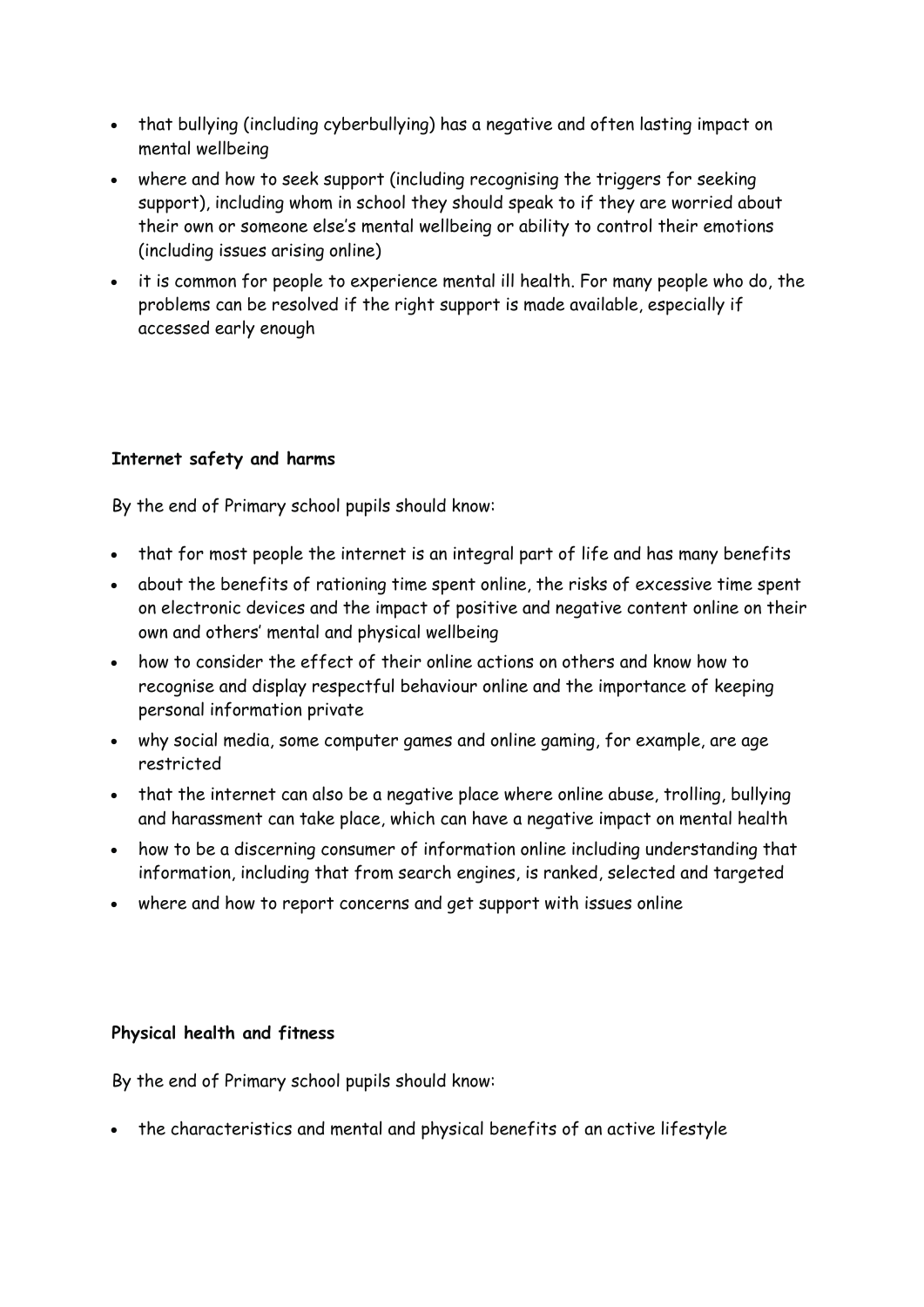- that bullying (including cyberbullying) has a negative and often lasting impact on mental wellbeing
- where and how to seek support (including recognising the triggers for seeking support), including whom in school they should speak to if they are worried about their own or someone else's mental wellbeing or ability to control their emotions (including issues arising online)
- it is common for people to experience mental ill health. For many people who do, the problems can be resolved if the right support is made available, especially if accessed early enough

## **Internet safety and harms**

By the end of Primary school pupils should know:

- that for most people the internet is an integral part of life and has many benefits
- about the benefits of rationing time spent online, the risks of excessive time spent on electronic devices and the impact of positive and negative content online on their own and others' mental and physical wellbeing
- how to consider the effect of their online actions on others and know how to recognise and display respectful behaviour online and the importance of keeping personal information private
- why social media, some computer games and online gaming, for example, are age restricted
- that the internet can also be a negative place where online abuse, trolling, bullying and harassment can take place, which can have a negative impact on mental health
- how to be a discerning consumer of information online including understanding that information, including that from search engines, is ranked, selected and targeted
- where and how to report concerns and get support with issues online

#### **Physical health and fitness**

By the end of Primary school pupils should know:

• the characteristics and mental and physical benefits of an active lifestyle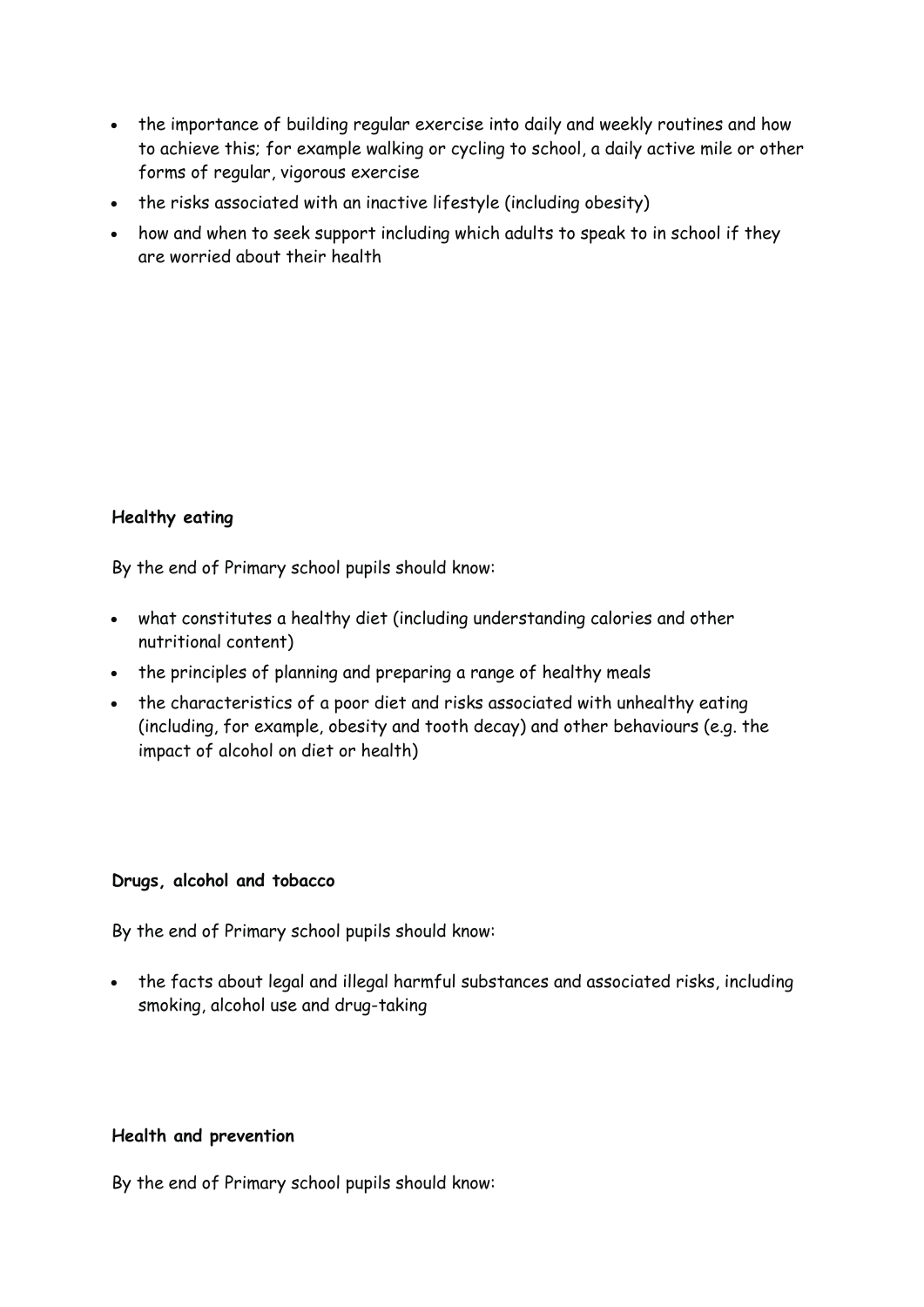- the importance of building regular exercise into daily and weekly routines and how to achieve this; for example walking or cycling to school, a daily active mile or other forms of regular, vigorous exercise
- the risks associated with an inactive lifestyle (including obesity)
- how and when to seek support including which adults to speak to in school if they are worried about their health

# **Healthy eating**

By the end of Primary school pupils should know:

- what constitutes a healthy diet (including understanding calories and other nutritional content)
- the principles of planning and preparing a range of healthy meals
- the characteristics of a poor diet and risks associated with unhealthy eating (including, for example, obesity and tooth decay) and other behaviours (e.g. the impact of alcohol on diet or health)

#### **Drugs, alcohol and tobacco**

By the end of Primary school pupils should know:

 the facts about legal and illegal harmful substances and associated risks, including smoking, alcohol use and drug-taking

#### **Health and prevention**